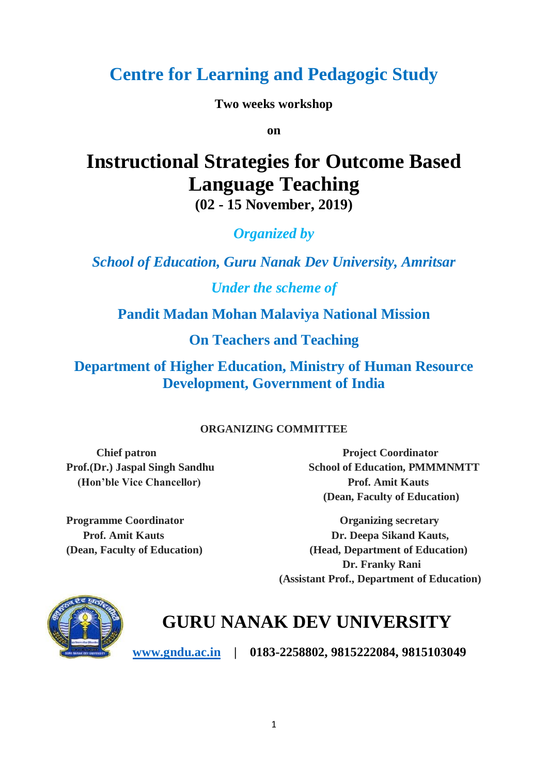# **Centre for Learning and Pedagogic Study**

**Two weeks workshop**

**on**

# **Instructional Strategies for Outcome Based Language Teaching (02 - 15 November, 2019)**

*Organized by*

*School of Education, Guru Nanak Dev University, Amritsar*

*Under the scheme of*

**Pandit Madan Mohan Malaviya National Mission**

**On Teachers and Teaching**

**Department of Higher Education, Ministry of Human Resource Development, Government of India**

#### **ORGANIZING COMMITTEE**

 **(Hon'ble Vice Chancellor) Prof. Amit Kauts**

**Chief patron Project Coordinator** Prof.(Dr.) Jaspal Singh Sandhu School of Education, PMMMNMTT  **(Dean, Faculty of Education)**

**Programme Coordinator Organizing secretary** Prof. Amit Kauts **Dr. Deepa Sikand Kauts**, **(Dean, Faculty of Education) (Head, Department of Education) Dr. Franky Rani (Assistant Prof., Department of Education)**



# **GURU NANAK DEV UNIVERSITY**

**[www.gndu.ac.in](http://www.gndu.ac.in/) | 0183-2258802, 9815222084, 9815103049**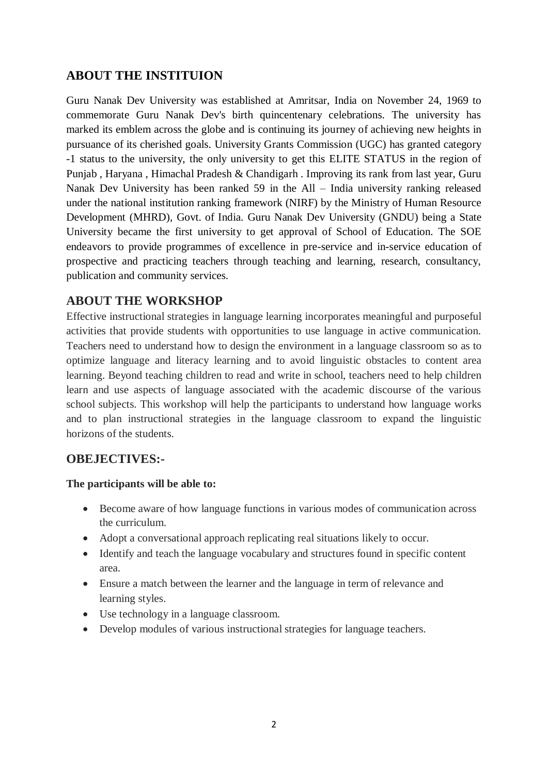#### **ABOUT THE INSTITUION**

Guru Nanak Dev University was established at Amritsar, India on November 24, 1969 to commemorate Guru Nanak Dev's birth quincentenary celebrations. The university has marked its emblem across the globe and is continuing its journey of achieving new heights in pursuance of its cherished goals. University Grants Commission (UGC) has granted category -1 status to the university, the only university to get this ELITE STATUS in the region of Punjab , Haryana , Himachal Pradesh & Chandigarh . Improving its rank from last year, Guru Nanak Dev University has been ranked 59 in the All – India university ranking released under the national institution ranking framework (NIRF) by the Ministry of Human Resource Development (MHRD), Govt. of India. Guru Nanak Dev University (GNDU) being a State University became the first university to get approval of School of Education. The SOE endeavors to provide programmes of excellence in pre-service and in-service education of prospective and practicing teachers through teaching and learning, research, consultancy, publication and community services.

#### **ABOUT THE WORKSHOP**

Effective instructional strategies in language learning incorporates meaningful and purposeful activities that provide students with opportunities to use language in active communication. Teachers need to understand how to design the environment in a language classroom so as to optimize language and literacy learning and to avoid linguistic obstacles to content area learning. Beyond teaching children to read and write in school, teachers need to help children learn and use aspects of language associated with the academic discourse of the various school subjects. This workshop will help the participants to understand how language works and to plan instructional strategies in the language classroom to expand the linguistic horizons of the students.

#### **OBEJECTIVES:-**

#### **The participants will be able to:**

- Become aware of how language functions in various modes of communication across the curriculum.
- Adopt a conversational approach replicating real situations likely to occur.
- Identify and teach the language vocabulary and structures found in specific content area.
- Ensure a match between the learner and the language in term of relevance and learning styles.
- Use technology in a language classroom.
- Develop modules of various instructional strategies for language teachers.